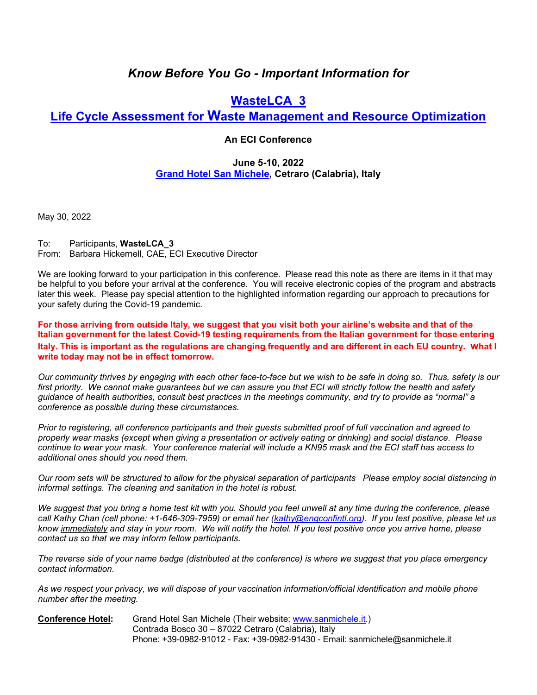# *Know Before You Go - Important Information for*

# **WasteLCA\_3**

## **Life Cycle Assessment for Waste Management and Resource Optimization**

### **An ECI Conference**

### **June 5-10, 2022 Grand Hotel San Michele, Cetraro (Calabria), Italy**

May 30, 2022

To: Participants, **WasteLCA\_3** From: Barbara Hickernell, CAE, ECI Executive Director

We are looking forward to your participation in this conference. Please read this note as there are items in it that may be helpful to you before your arrival at the conference. You will receive electronic copies of the program and abstracts later this week. Please pay special attention to the highlighted information regarding our approach to precautions for your safety during the Covid-19 pandemic.

**For those arriving from outside Italy, we suggest that you visit both your airline's website and that of the Italian government for the latest Covid-19 testing requirements from the Italian government for those entering Italy. This is important as the regulations are changing frequently and are different in each EU country. what I write today may not be in effect tomorrow.** 

*Our community thrives by engaging with each other face-to-face but we wish to be safe in doing so. Thus, safety is our first priority. We cannot make guarantees but we can assure you that ECI will strictly follow the health and safety guidance of health authorities, consult best practices in the meetings community, and try to provide as "normal" a conference as possible during these circumstances.* 

*Prior to registering, all conference participants and their guests submitted proof of full vaccination and agreed to properly wear masks (except when giving a presentation or actively eating or drinking) and social distance. Please continue to wear your mask. Your conference material will include a KN95 mask and the ECI staff has access to additional ones should you need them.* 

*Our room sets will be structured to allow for the physical separation of participants Please employ social distancing in informal settings. The cleaning and sanitation in the hotel is robust.* 

*We suggest that you bring a home test kit with you. Should you feel unwell at any time during the conference, please call Kathy Chan (cell phone: +1-646-309-7959) or email her (kathy@engconfintl.org). If you test positive, please let us know immediately and stay in your room. We will notify the hotel. If you test positive once you arrive home, please contact us so that we may inform fellow participants.* 

*The reverse side of your name badge (distributed at the conference) is where we suggest that you place emergency contact information.* 

*As we respect your privacy, we will dispose of your vaccination information/official identification and mobile phone number after the meeting.* 

**Conference Hotel:** Grand Hotel San Michele (Their website: www.sanmichele.it.) Contrada Bosco 30 – 87022 Cetraro (Calabria), Italy Phone: +39-0982-91012 - Fax: +39-0982-91430 - Email: sanmichele@sanmichele.it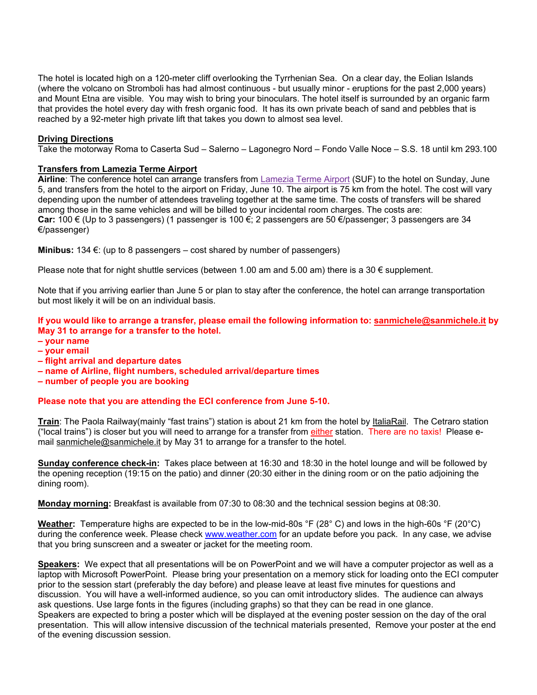The hotel is located high on a 120-meter cliff overlooking the Tyrrhenian Sea. On a clear day, the Eolian Islands (where the volcano on Stromboli has had almost continuous - but usually minor - eruptions for the past 2,000 years) and Mount Etna are visible. You may wish to bring your binoculars. The hotel itself is surrounded by an organic farm that provides the hotel every day with fresh organic food. It has its own private beach of sand and pebbles that is reached by a 92-meter high private lift that takes you down to almost sea level.

#### **Driving Directions**

Take the motorway Roma to Caserta Sud – Salerno – Lagonegro Nord – Fondo Valle Noce – S.S. 18 until km 293.100

#### **Transfers from Lamezia Terme Airport**

**Airline**: The conference hotel can arrange transfers from Lamezia Terme Airport (SUF) to the hotel on Sunday, June 5, and transfers from the hotel to the airport on Friday, June 10. The airport is 75 km from the hotel. The cost will vary depending upon the number of attendees traveling together at the same time. The costs of transfers will be shared among those in the same vehicles and will be billed to your incidental room charges. The costs are: **Car:** 100 € (Up to 3 passengers) (1 passenger is 100 €; 2 passengers are 50 €/passenger; 3 passengers are 34 €/passenger)

**Minibus:** 134 €: (up to 8 passengers – cost shared by number of passengers)

Please note that for night shuttle services (between 1.00 am and 5.00 am) there is a 30  $\epsilon$  supplement.

Note that if you arriving earlier than June 5 or plan to stay after the conference, the hotel can arrange transportation but most likely it will be on an individual basis.

**If you would like to arrange a transfer, please email the following information to: sanmichele@sanmichele.it by May 31 to arrange for a transfer to the hotel.**

- **your name**
- **your email**
- **flight arrival and departure dates**
- **name of Airline, flight numbers, scheduled arrival/departure times**
- **number of people you are booking**

**Please note that you are attending the ECI conference from June 5-10.**

**Train**: The Paola Railway(mainly "fast trains") station is about 21 km from the hotel by ItaliaRail. The Cetraro station ("local trains") is closer but you will need to arrange for a transfer from either station. There are no taxis! Please email sanmichele@sanmichele.it by May 31 to arrange for a transfer to the hotel.

**Sunday conference check-in:** Takes place between at 16:30 and 18:30 in the hotel lounge and will be followed by the opening reception (19:15 on the patio) and dinner (20:30 either in the dining room or on the patio adjoining the dining room).

**Monday morning:** Breakfast is available from 07:30 to 08:30 and the technical session begins at 08:30.

**Weather:** Temperature highs are expected to be in the low-mid-80s °F (28° C) and lows in the high-60s °F (20°C) during the conference week. Please check www.weather.com for an update before you pack. In any case, we advise that you bring sunscreen and a sweater or jacket for the meeting room.

**Speakers:** We expect that all presentations will be on PowerPoint and we will have a computer projector as well as a laptop with Microsoft PowerPoint. Please bring your presentation on a memory stick for loading onto the ECI computer prior to the session start (preferably the day before) and please leave at least five minutes for questions and discussion. You will have a well-informed audience, so you can omit introductory slides. The audience can always ask questions. Use large fonts in the figures (including graphs) so that they can be read in one glance. Speakers are expected to bring a poster which will be displayed at the evening poster session on the day of the oral presentation. This will allow intensive discussion of the technical materials presented, Remove your poster at the end of the evening discussion session.